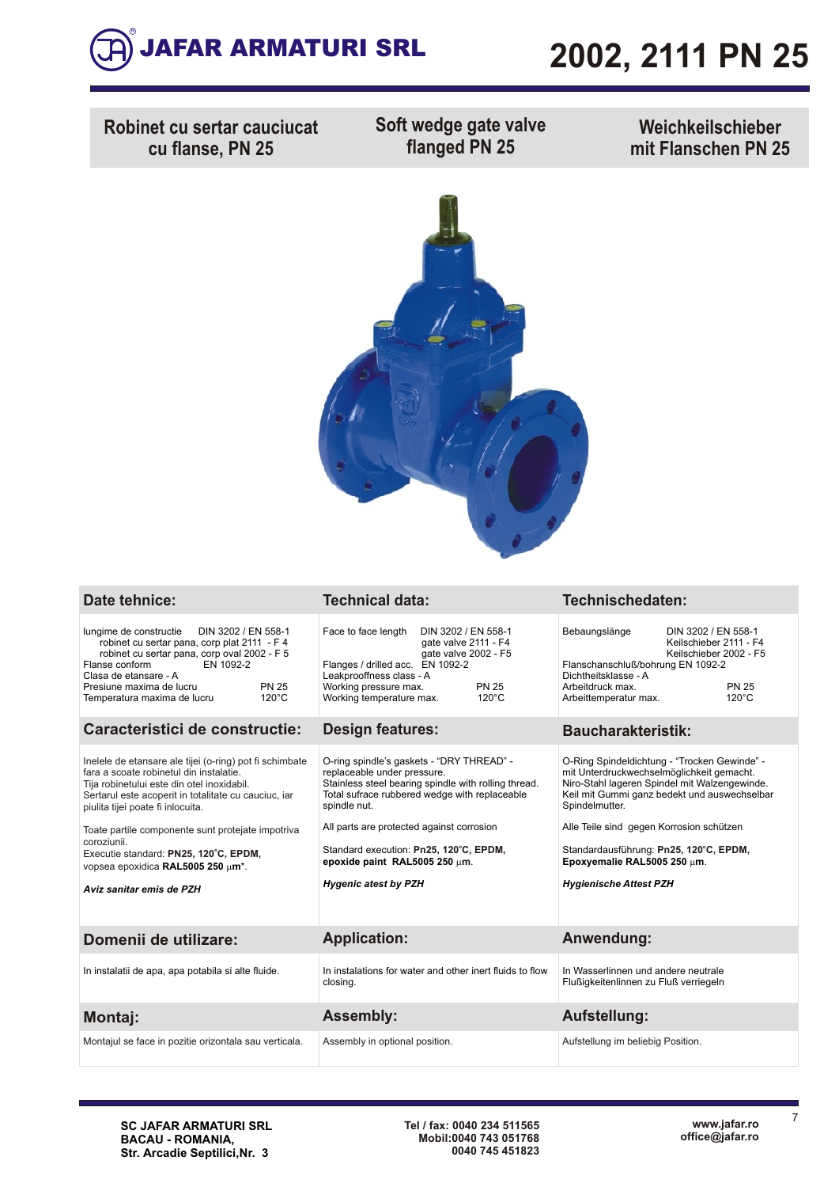

## **2002, 2111 PN 25**

**Robinet cu sertar cauciucat cu flanse, PN 25**

**Soft wedge gate valve flanged PN 25**

**Weichkeilschieber mit Flanschen PN 25**



| Date tehnice: |  |  |
|---------------|--|--|
|               |  |  |
|               |  |  |

### **Date tehnice: Technical data: Technischedaten:**

| Caracteristici de constructie:                                                             |                 | Design features:                                  |                                             | <b>Baucharakteristik:</b>                |                                                             |  |  |
|--------------------------------------------------------------------------------------------|-----------------|---------------------------------------------------|---------------------------------------------|------------------------------------------|-------------------------------------------------------------|--|--|
| Temperatura maxima de lucru                                                                | $120^{\circ}$ C | Working temperature max.                          | 120°C                                       | Arbeittemperatur max.                    | $120^{\circ}$ C                                             |  |  |
| Clasa de etansare - A<br>Presiune maxima de lucru                                          | <b>PN 25</b>    | Leakprooffness class - A<br>Working pressure max. | <b>PN 25</b>                                | Dichtheitsklasse - A<br>Arbeitdruck max. | <b>PN 25</b>                                                |  |  |
| robinet cu sertar pana, corp oval 2002 - F 5<br>EN 1092-2<br>Flanse conform                |                 | Flanges / drilled acc. EN 1092-2                  | gate valve 2002 - F5                        |                                          | Keilschieber 2002 - F5<br>Flanschanschluß/bohrung EN 1092-2 |  |  |
| lungime de constructie DIN 3202 / EN 558-1<br>robinet cu sertar pana, corp plat 2111 - F 4 |                 | Face to face length                               | DIN 3202 / EN 558-1<br>gate valve 2111 - F4 | Bebaungslänge                            | DIN 3202 / EN 558-1<br>Keilschieber 2111 - F4               |  |  |

| Inelele de etansare ale tijei (o-ring) pot fi schimbate<br>fara a scoate robinetul din instalatie.<br>Tija robinetului este din otel inoxidabil.<br>Sertarul este acoperit in totalitate cu cauciuc, iar<br>piulita tijei poate fi inlocuita. | O-ring spindle's gaskets - "DRY THREAD" -<br>replaceable under pressure.<br>Stainless steel bearing spindle with rolling thread.<br>Total sufrace rubbered wedge with replaceable<br>spindle nut. | O-Ring Spindeldichtung - "Trocken Gewinde" -<br>mit Unterdruckwechselmöglichkeit gemacht.<br>Niro-Stahl lageren Spindel mit Walzengewinde.<br>Keil mit Gummi ganz bedekt und auswechselbar<br>Spindelmutter. |
|-----------------------------------------------------------------------------------------------------------------------------------------------------------------------------------------------------------------------------------------------|---------------------------------------------------------------------------------------------------------------------------------------------------------------------------------------------------|--------------------------------------------------------------------------------------------------------------------------------------------------------------------------------------------------------------|
| Toate partile componente sunt protejate impotriva<br>coroziunii.<br>Executie standard: PN25, 120°C, EPDM,<br>vopsea epoxidica RAL5005 250 µm <sup>*</sup> .<br>Aviz sanitar emis de PZH                                                       | All parts are protected against corrosion<br>Standard execution: Pn25, 120°C, EPDM,<br>epoxide paint RAL5005 250 $\mu$ m.<br><b>Hygenic atest by PZH</b>                                          | Alle Teile sind gegen Korrosion schützen<br>Standardausführung: Pn25, 120°C, EPDM,<br>Epoxyemalie RAL5005 250 µm.<br><b>Hygienische Attest PZH</b>                                                           |
| Domenii de utilizare:                                                                                                                                                                                                                         | <b>Application:</b>                                                                                                                                                                               | Anwendung:                                                                                                                                                                                                   |
| In instalatii de apa, apa potabila si alte fluide.                                                                                                                                                                                            | In instalations for water and other inert fluids to flow<br>closing.                                                                                                                              | In Wasserlinnen und andere neutrale<br>Flußigkeitenlinnen zu Fluß verriegeln                                                                                                                                 |
| <b>Montaj:</b>                                                                                                                                                                                                                                | <b>Assembly:</b>                                                                                                                                                                                  | Aufstellung:                                                                                                                                                                                                 |
| Montajul se face in pozitie orizontala sau verticala.                                                                                                                                                                                         | Assembly in optional position.                                                                                                                                                                    | Aufstellung im beliebig Position.                                                                                                                                                                            |

7